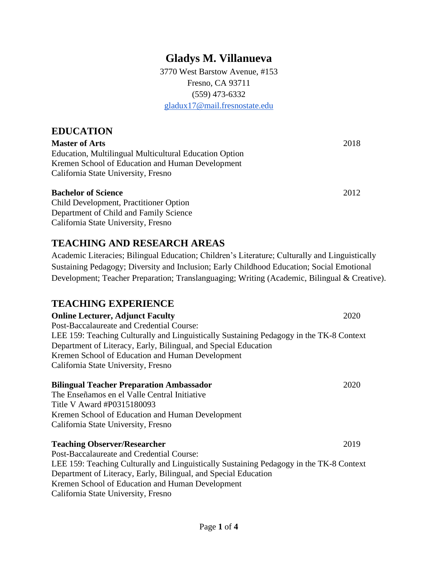# **Gladys M. Villanueva**

3770 West Barstow Avenue, #153 Fresno, CA 93711 (559) 473-6332 [gladux17@mail.fresnostate.edu](mailto:gladux17@mail.fresnostate.edu)

# **EDUCATION**

**Master of Arts** 2018 Education, Multilingual Multicultural Education Option Kremen School of Education and Human Development California State University, Fresno

#### **Bachelor of Science** 2012

Child Development, Practitioner Option Department of Child and Family Science California State University, Fresno

# **TEACHING AND RESEARCH AREAS**

Academic Literacies; Bilingual Education; Children's Literature; Culturally and Linguistically Sustaining Pedagogy; Diversity and Inclusion; Early Childhood Education; Social Emotional Development; Teacher Preparation; Translanguaging; Writing (Academic, Bilingual & Creative).

# **TEACHING EXPERIENCE**

**Online Lecturer, Adjunct Faculty** 2020 Post-Baccalaureate and Credential Course: LEE 159: Teaching Culturally and Linguistically Sustaining Pedagogy in the TK-8 Context Department of Literacy, Early, Bilingual, and Special Education Kremen School of Education and Human Development California State University, Fresno

#### **Bilingual Teacher Preparation Ambassador** 2020

The Enseñamos en el Valle Central Initiative Title V Award #P0315180093 Kremen School of Education and Human Development California State University, Fresno

#### **Teaching Observer/Researcher** 2019

Post-Baccalaureate and Credential Course: LEE 159: Teaching Culturally and Linguistically Sustaining Pedagogy in the TK-8 Context Department of Literacy, Early, Bilingual, and Special Education Kremen School of Education and Human Development California State University, Fresno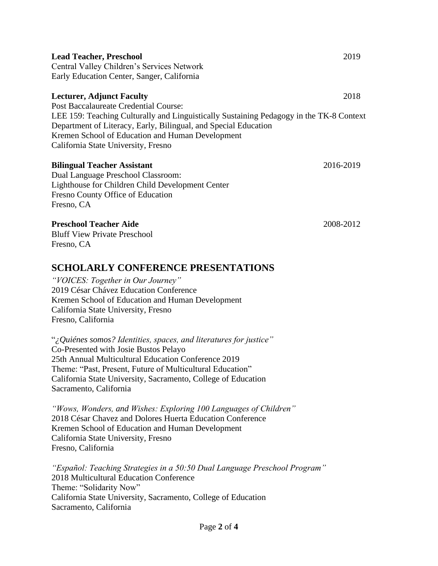| <b>Lead Teacher, Preschool</b>                                                          | 2019      |
|-----------------------------------------------------------------------------------------|-----------|
| Central Valley Children's Services Network                                              |           |
| Early Education Center, Sanger, California                                              |           |
| <b>Lecturer, Adjunct Faculty</b>                                                        | 2018      |
| Post Baccalaureate Credential Course:                                                   |           |
| LEE 159: Teaching Culturally and Linguistically Sustaining Pedagogy in the TK-8 Context |           |
| Department of Literacy, Early, Bilingual, and Special Education                         |           |
| Kremen School of Education and Human Development                                        |           |
| California State University, Fresno                                                     |           |
| <b>Bilingual Teacher Assistant</b>                                                      | 2016-2019 |
| Dual Language Preschool Classroom:                                                      |           |
| Lighthouse for Children Child Development Center                                        |           |
| Fresno County Office of Education                                                       |           |
| Fresno, CA                                                                              |           |
| <b>Preschool Teacher Aide</b>                                                           | 2008-2012 |
| <b>Bluff View Private Preschool</b>                                                     |           |
| Fresno, CA                                                                              |           |
| <b>SCHOLARLY CONFERENCE PRESENTATIONS</b>                                               |           |
| "VOICES: Together in Our Journey"                                                       |           |
| 2019 César Chávez Education Conference                                                  |           |
| Kremen School of Education and Human Development                                        |           |
| California State University, Fresno                                                     |           |
| Fresno, California                                                                      |           |

"*¿Quiénes somos? Identities, spaces, and literatures for justice"* Co-Presented with Josie Bustos Pelayo 25th Annual Multicultural Education Conference 2019 Theme: "Past, Present, Future of Multicultural Education" California State University, Sacramento, College of Education Sacramento, California

*"Wows, Wonders, and Wishes: Exploring 100 Languages of Children"*  2018 César Chavez and Dolores Huerta Education Conference Kremen School of Education and Human Development California State University, Fresno Fresno, California

*"Español: Teaching Strategies in a 50:50 Dual Language Preschool Program"* 2018 Multicultural Education Conference Theme: "Solidarity Now" California State University, Sacramento, College of Education Sacramento, California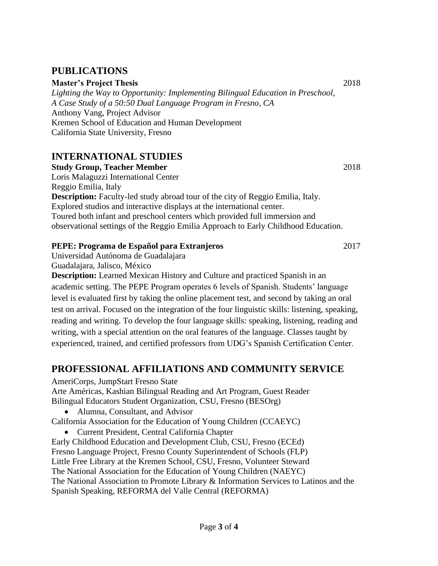## **PUBLICATIONS**

#### **Master's Project Thesis** 2018

*Lighting the Way to Opportunity: Implementing Bilingual Education in Preschool, A Case Study of a 50:50 Dual Language Program in Fresno, CA* Anthony Vang, Project Advisor Kremen School of Education and Human Development California State University, Fresno

# **INTERNATIONAL STUDIES**

#### **Study Group, Teacher Member** 2018

Loris Malaguzzi International Center Reggio Emilia, Italy **Description:** Faculty-led study abroad tour of the city of Reggio Emilia, Italy. Explored studios and interactive displays at the international center. Toured both infant and preschool centers which provided full immersion and observational settings of the Reggio Emilia Approach to Early Childhood Education.

#### **PEPE: Programa de Español para Extranjeros** 2017

Universidad Autónoma de Guadalajara

Guadalajara, Jalisco, México

**Description:** Learned Mexican History and Culture and practiced Spanish in an academic setting. The PEPE Program operates 6 levels of Spanish. Students' language level is evaluated first by taking the online placement test, and second by taking an oral test on arrival. Focused on the integration of the four linguistic skills: listening, speaking, reading and writing. To develop the four language skills: speaking, listening, reading and writing, with a special attention on the oral features of the language. Classes taught by experienced, trained, and certified professors from UDG's Spanish Certification Center.

# **PROFESSIONAL AFFILIATIONS AND COMMUNITY SERVICE**

AmeriCorps, JumpStart Fresno State Arte Américas, Kashian Bilingual Reading and Art Program, Guest Reader Bilingual Educators Student Organization, CSU, Fresno (BESOrg)

• Alumna, Consultant, and Advisor

California Association for the Education of Young Children (CCAEYC)

• Current President, Central California Chapter

Early Childhood Education and Development Club, CSU, Fresno (ECEd) Fresno Language Project, Fresno County Superintendent of Schools (FLP) Little Free Library at the Kremen School, CSU, Fresno, Volunteer Steward The National Association for the Education of Young Children (NAEYC) The National Association to Promote Library & Information Services to Latinos and the Spanish Speaking, REFORMA del Valle Central (REFORMA)